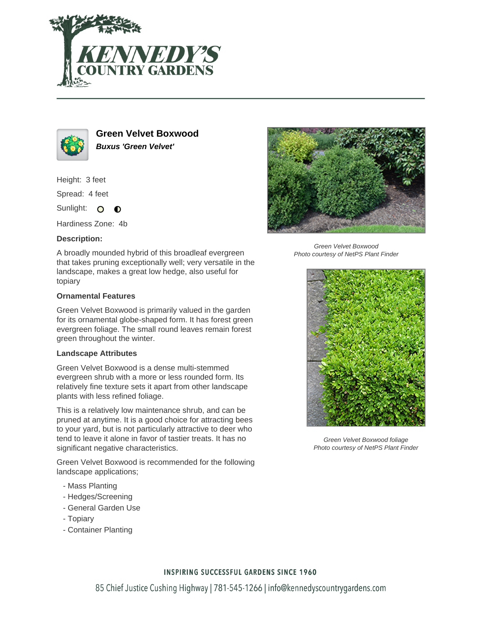



**Green Velvet Boxwood Buxus 'Green Velvet'**

Height: 3 feet

Spread: 4 feet

Sunlight: O  $\bullet$ 

Hardiness Zone: 4b

## **Description:**

A broadly mounded hybrid of this broadleaf evergreen that takes pruning exceptionally well; very versatile in the landscape, makes a great low hedge, also useful for topiary

## **Ornamental Features**

Green Velvet Boxwood is primarily valued in the garden for its ornamental globe-shaped form. It has forest green evergreen foliage. The small round leaves remain forest green throughout the winter.

## **Landscape Attributes**

Green Velvet Boxwood is a dense multi-stemmed evergreen shrub with a more or less rounded form. Its relatively fine texture sets it apart from other landscape plants with less refined foliage.

This is a relatively low maintenance shrub, and can be pruned at anytime. It is a good choice for attracting bees to your yard, but is not particularly attractive to deer who tend to leave it alone in favor of tastier treats. It has no significant negative characteristics.

Green Velvet Boxwood is recommended for the following landscape applications;

- Mass Planting
- Hedges/Screening
- General Garden Use
- Topiary
- Container Planting



Green Velvet Boxwood Photo courtesy of NetPS Plant Finder



Green Velvet Boxwood foliage Photo courtesy of NetPS Plant Finder

## **INSPIRING SUCCESSFUL GARDENS SINCE 1960**